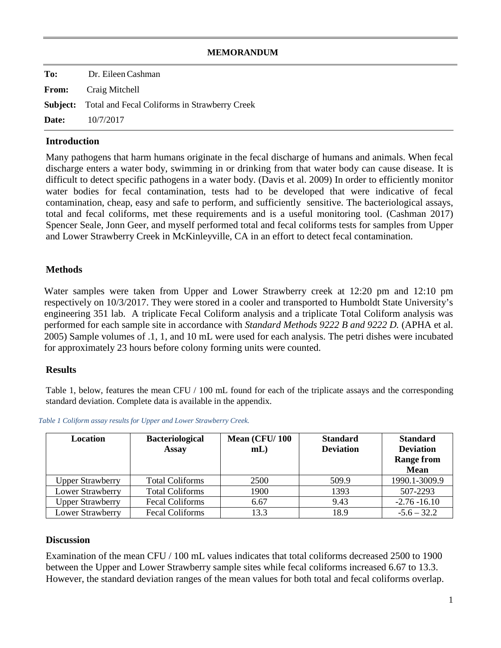### **MEMORANDUM**

| To: | Dr. Eileen Cashman                                            |
|-----|---------------------------------------------------------------|
|     | <b>From:</b> Craig Mitchell                                   |
|     | <b>Subject:</b> Total and Fecal Coliforms in Strawberry Creek |
|     | <b>Date:</b> $10/7/2017$                                      |

## **Introduction**

Many pathogens that harm humans originate in the fecal discharge of humans and animals. When fecal discharge enters a water body, swimming in or drinking from that water body can cause disease. It is difficult to detect specific pathogens in a water body. (Davis et al. 2009) In order to efficiently monitor water bodies for fecal contamination, tests had to be developed that were indicative of fecal contamination, cheap, easy and safe to perform, and sufficiently sensitive. The bacteriological assays, total and fecal coliforms, met these requirements and is a useful monitoring tool. (Cashman 2017) Spencer Seale, Jonn Geer, and myself performed total and fecal coliforms tests for samples from Upper and Lower Strawberry Creek in McKinleyville, CA in an effort to detect fecal contamination.

#### **Methods**

Water samples were taken from Upper and Lower Strawberry creek at 12:20 pm and 12:10 pm respectively on 10/3/2017. They were stored in a cooler and transported to Humboldt State University's engineering 351 lab. A triplicate Fecal Coliform analysis and a triplicate Total Coliform analysis was performed for each sample site in accordance with *Standard Methods 9222 B and 9222 D.* (APHA et al. 2005) Sample volumes of .1, 1, and 10 mL were used for each analysis. The petri dishes were incubated for approximately 23 hours before colony forming units were counted.

#### **Results**

Table 1, below, features the mean CFU / 100 mL found for each of the triplicate assays and the corresponding standard deviation. Complete data is available in the appendix.

*Table 1 Coliform assay results for Upper and Lower Strawberry Creek.* 

| Location                | <b>Bacteriological</b><br><b>Assay</b> | Mean (CFU/100<br>$mL$ ) | <b>Standard</b><br><b>Deviation</b> | <b>Standard</b><br><b>Deviation</b><br><b>Range from</b><br><b>Mean</b> |
|-------------------------|----------------------------------------|-------------------------|-------------------------------------|-------------------------------------------------------------------------|
| <b>Upper Strawberry</b> | <b>Total Coliforms</b>                 | 2500                    | 509.9                               | 1990.1-3009.9                                                           |
| Lower Strawberry        | <b>Total Coliforms</b>                 | 1900                    | 1393                                | 507-2293                                                                |
| <b>Upper Strawberry</b> | <b>Fecal Coliforms</b>                 | 6.67                    | 9.43                                | $-2.76 - 16.10$                                                         |
| Lower Strawberry        | <b>Fecal Coliforms</b>                 | 13.3                    | 18.9                                | $-5.6 - 32.2$                                                           |

#### **Discussion**

Examination of the mean CFU / 100 mL values indicates that total coliforms decreased 2500 to 1900 between the Upper and Lower Strawberry sample sites while fecal coliforms increased 6.67 to 13.3. However, the standard deviation ranges of the mean values for both total and fecal coliforms overlap.